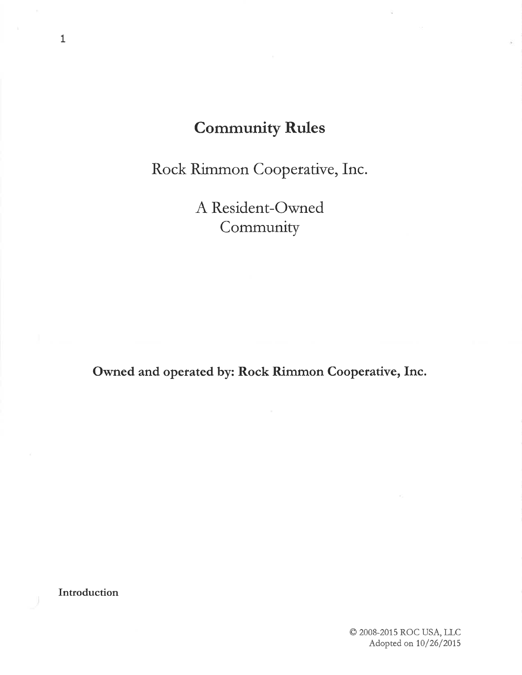# Community Rules

Rock Rimmon Cooperative, Inc.

A. Resident-Owned Community

Owned and operated by: Rock Rimmon Cooperative, Inc.

Introduction

© 2008-2015 ROC USA, LLC Adopted on  $10/26/2015$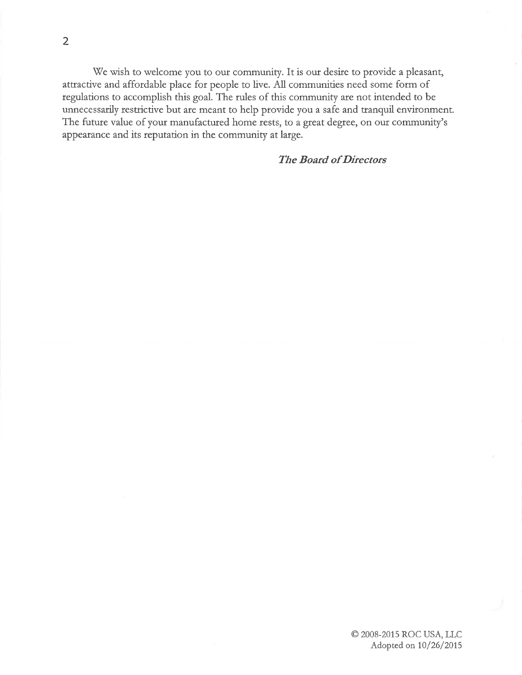We wish to welcome you to our community. It is our desire to provide a pleasant, attractive and affordable place for people to live. All communities need some form of regulations to accomplish this goal. The rules of this community are not intended to be unnecessarily restrictive but are meant to help provide you a safe and tranquil environment. The future value of your manufactured home rests, to a great degree, on our community's appearance and its reputation in the community at large.

#### **The Board of Directors**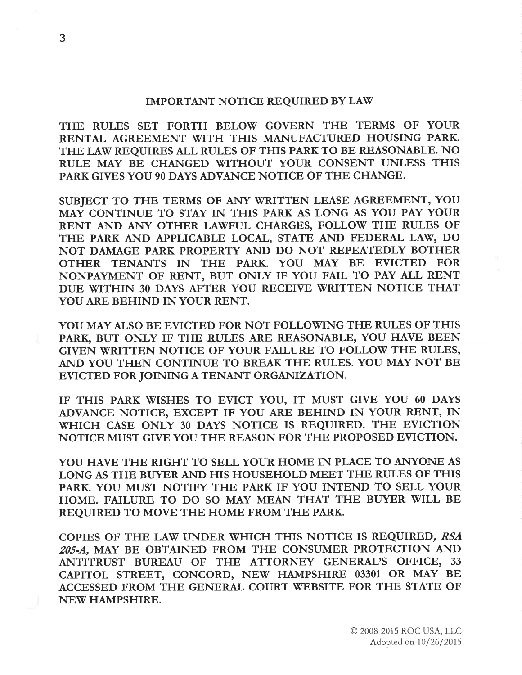#### IMPORTANT NOTICE REQUIRED BY LAW

THE RULES SET FORTH BELOW GOVERN THE TERMS OF YOUR RENTAL AGREEMENT WITH THIS MANUFACTURED HOUSING PARK. THE LAW REQUIRES AIL RULES OF THIS PARK TO BE REASONABLE. NO RULE MAY BE CHANGED WITHOUT YOUR CONSENT UNLESS THIS PARK GIVES YOU 90 DAYS ADVANCE NOTICE OF THE CHANGE.

SUBJECT TO THE TERMS OF ANY WRITTEN LEASE AGREEMENT, YOU MAY CONTINUE TO STAY IN THIS PARK AS LONG AS YOU PAY YOUR RENT AND ANTY OTHER LAWFUL CHARGES, FOLLOW THE RULES OF THE PARK AND APPLICABLE LOCAL, STATE AND FEDERAL LAW, DO NOT DAMAGE PARK PROPERTY AND DO NOT REPEATEDLY BOTHER OTHER TENANTS IN THE PARK. YOU MAY BE EVICTED FOR NONPAYMENT OF RENT, BUT ONLY IF YOU FAIL TO PAY AIL RENT DUE WITHIN 30 DAYS AFTER YOU RECEIVE WRITTEN NOTICE THAT YOU ARE BEHIND IN YOUR RENT.

YOU MAY ALSO BE EVICTED FOR NOT FOLLOWING THE RULES OF THIS PARK, BUT ONLY IF THE RULES ARE REASONABLE, YOU HAVE BEEN GIVEN WRITTEN NOTICE OF YOUR FAILURE TO FOLLOW THE RULES, AND YOU THEN CONTINUE TO BREAK THE RULES. YOU MAY NOT BE EVICTED FOR JOINING A TENANT ORGANIZATION.

IF THIS PARK WISHES TO EVICT YOU, IT MUST GIVE YOU 60 DAYS ADVANCE NOTICE, EXCEPT IF YOU ARE BEHIND IN YOUR RENT, IN WHICH CASE ONLY 30 DAYS NOTICE IS REQUIRED. THE EVICTION NOTICE MUST GIVE YOU THE REASON FOR THE PROPOSED EVICTION.

YOU HAVE THE RIGHT TO SELL YOUR HOME IN PLACE TO ANYONE AS LONG AS THE BUYER AND HIS HOUSEHOLD MEET THE RULES OF THIS PARK. YOU MUST NOTIFY THE PARK IF YOU INTEND TO SELL YOUR HOME. FAILURE TO DO SO MAY MEAN THAT THE BUYER WILL BE REQUIRED TO MOVE THE HOME FROM THE PARK.

COPIES OF THE LAW UNDER WHICH THIS NOTICE IS REQUIRED, RSA 205-A, MAY BE OBTAINED FROM THE CONSUMER PROTECTION AND ANTITRUST BUREAU OF THE ATTORNEY GENERAL'S OFFICE, <sup>33</sup> CAPITOL STREET, CONCORD, NEW HAMPSHIRE 03301 OR MAY BE ACCESSED FROM THE GENERAL COURT WEBSITE FOR THE STATE OF NEW HAMPSHIRE.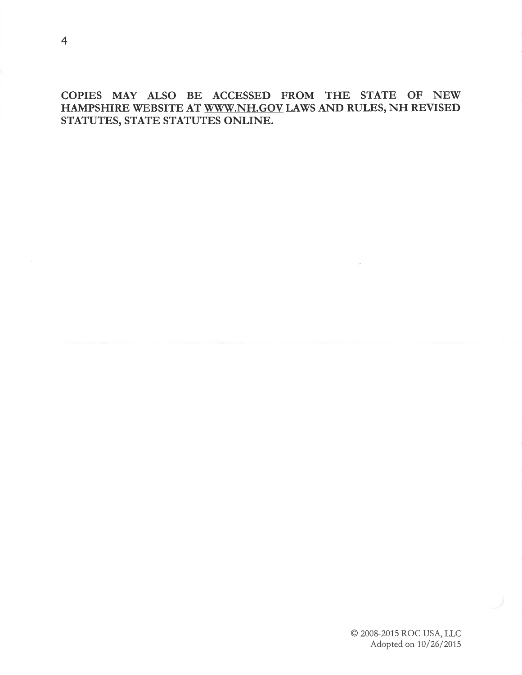COPIES MAY AISO BE ACCESSED FROM THE STATE OF NEW HAMPSHIRE WEBSITE AT WWW.NH.GOV LAWS AND RULES, NH REVISED STATUTES, STATE STATUTES ONLINE.

> © 2008-2015 ROC USA, LLC Adopted on  $10/26/2015$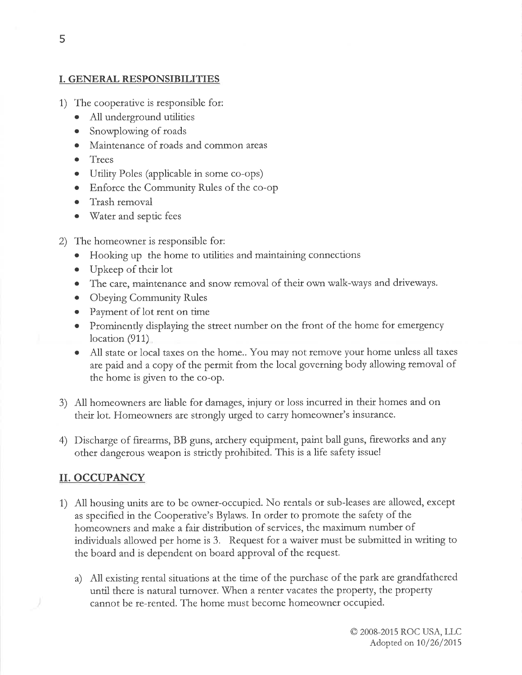#### I. GENERAL RESPONSIBILITIES

- 1) The cooperative is tesponsible fot:
	- O All underground utilities
	- a Snowplowing of toads
	- o Maintenance of roads and common areas
	- o Trees
	- o Utility Poles (applicable in some co-ops)
	- o Enforce the Community Rules of the co-op
	- o Ttash temoval
	- o Watet and septic fees
- 2) The homeowner is responsible for:
	- o Hooking up the home to utilities and maintaining connections
	- . Upkeep of theit lot
	- The care, maintenance and snow removal of their own walk-ways and driveways.
	- Obeying Community Rules
	- Payment of lot rent on time
	- Prominently displaying the street number on the front of the home for emergency location (911)
	- All state or local taxes on the home.. You may not remove your home unless all taxes are paid and a copy of the permit from the local govetning body allowing temoval of the home is given to the co-op.
- 3) All homeowners are liable for damages, injury or loss incurred in theit homes and on their lot. Homeowners are strongly urged to carry homeowner's insurance.
- 4) Discharge of firearms, BB guns, archery equipment, paint ball guns, fireworks and any other dangerous weapon is strictly prohibited. This is a life safety issue!

## II. OCCUPANCY

- 1) All housing units are to be owner-occupied. No rentals or sub-leases are allowed, except as specified in the Cooperative's Bylaws. In order to promote the safety of the homeownets and make a fair disttibution of services, the maximum number of individuals allowed per home is 3. Request for a waiver must be submitted in writing to the boatd and is dependent on board apptoval of the request.
	- a) All existing tental situations at the time of the putchase of the park arc grandfatheted until there is natural turnover. When a renter vacates the property, the property cânnot be re-rented. The home must become homeowner occupied.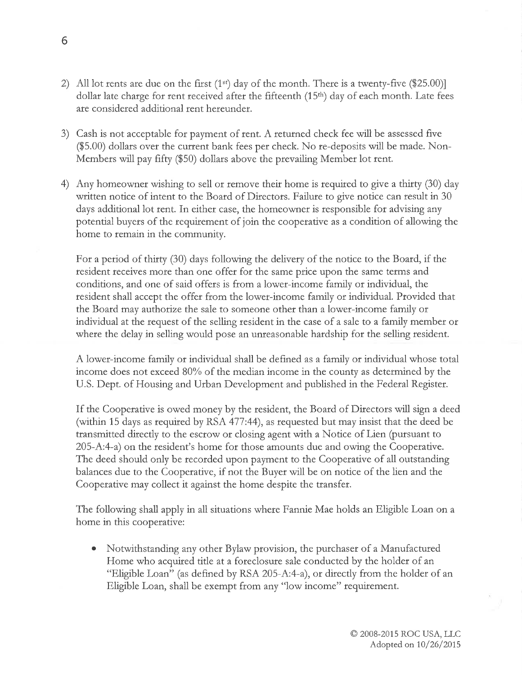- 2) All lot rents are due on the first  $(1<sup>st</sup>)$  day of the month. There is a twenty-five (\$25.00)] dollar late charge for rent received after the fifteenth (15<sup>th</sup>) day of each month. Late fees are considered additional rent heteundet.
- 3) Cash is not acceptable for payment of rent. A tetutned check fee wili be assessed fìve  $(\$5.00)$  dollars over the current bank fees per check. No re-deposits will be made. Non-Members will pay fifty (\$50) dollars above the prevailing Member lot rent.
- 4) Any homeowner wishing to sell or remove their home is required to give a thirty (30) day written notice of intent to the Board of Directors. Failure to give notice can result in 30 days additional lot tent. In either case, the homeownet is responsible for advising any potential buyers of the requirement of join the cooperative as a condition of allowing the home to remain in the community.

Fot a period of thirty (30) days following the delivery of the notice to the Boatd, if the tesident receives more than one offer fot the same ptice upon the same tetms and conditions, and one of said offers is from a lowet-income family ot individual, the resident shall accept the offet from the lower-income family ot individual. Provided that the Board may authorize the sale to someone other than a lower-income family or individual at the request of the selling tesident in the case of a sale to a family member or where the delay in selling would pose an unreasonable hardship for the selling resident.

A lower-income family or individual shall be defìned as a famly ot individual whose total income does not exceed 80% of the median income in the county as determined by the U.S. Dept. of Housing and Urban Development and published in the Federal Register.

If the Cooperative is owed money by the resident, the Board of Directors will sign a deed (within 15 days as required by RSA 477:44), as requested but may insist that the deed be transmitted directly to the escrow or closing agent with a Notice of Lien þursuant to 205-A:4-a) on the resident's home for those amounts due and owing the Cooperative. The deed should only be tecorded upon payment to the Cooperative of all outstanding balances due to the Cooperatìve, if not the Buyet will be on notice of the lien and the Cooperative may collect it against the home despite the transfer.

The following shall apply in all situations where Fannie Mae holds an Eligible Loan on <sup>a</sup> home in this cooperative:

Notwithstanding any other Bylaw provision, the purchaser of a Manufactured Home who acquired title at a foreclosure sale conducted by the holder of an "Eligible Loan" (as defined by RSA 205-A:4-a), or directly from the holder of an Eligible Loan, shall be exempt from any "low income" requirement. o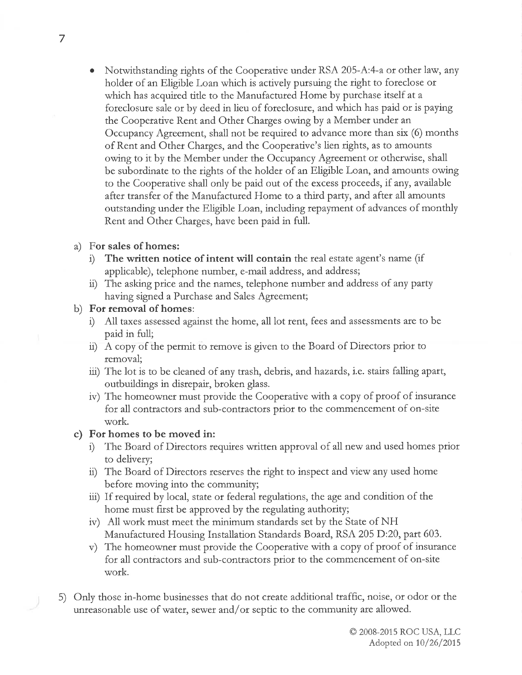Notwithstanding rights of the Cooperative under RSA 205-A:4-a or other law, any holder of an Eligible Loan which is actively pursuing the right to foreclose or which has acquired title to the Manufactured Home by purchase itself at a foreclosure sale or by deed in lieu of foteclosure, and which has paid ot is paying the Cooperative Rent and Other Charges owing by a Member under an Occupancy Agreement, shall not be required to advance more than six (6) months of Rent and Other Charges, and the Cooperative's lien rights, as to amounts owing to it by the Member under the Occupancy Agteement or otherwise, shall be subordiriate to the rights of the holder of an Eligible Loan, and amounts owing to the Cooperative shall only be paid out of the excess ptoceeds, if any, available after transfer of the Manufactured Home to a third pafry, and after all amounts outstanding under the Eligible Loan, including repayment of advances of monthly Rent and Other Charges, have been paid in full.

## a) For sales of homes:

- The written notice of intent will contain the real estate agent's name (if applicable), telephone number, e-mail addtess, and addtess;
- ii) The asking price and the names, telephone number and address of any party having signed a Purchase and Sales Agreement;
- b) For removal of homes:
	- i) All taxes assessed against the home, all lot rent, fees and assessments are to be paid in fuli;
	- $ii)$  A copy of the permit to remove is given to the Board of Directors prior to removal;
	- iii) The lot is to be cleaned of any trash, debris, and hazards, i.e. stairs falling apart, outbuildings in disrepair, broken glass.
	- iv) The homeowner must provide the Cooperative with a copy of proof of insurance for all contractors and sub-contractors prior to the commencement of on-site wotk.

## c) Fot homes to be moved in:

- i) The Board of Directors requires written approval of all new and used homes prior to delivery;
- ü) The Board of Directors reserves the right to inspect and view any used home befote moving into the community;
- äi) If required by local, state or fedetal tegulations, the age and condition of the home must first be apptoved by the regulating authority;
- iv) All work must meet the minimum standards set by the State of NH Manufactured Housing Installation Standards Board, RSA 205 D:20, part 603.
- v) The homeowner must provide the Cooperative with a copy of proof of insurance For all contractors and sub-contractors prior to the commencement of on-site wotk.
- 5) Only those in-home businesses that do not create additional trafftc, noise, ot odor or the unreasonable use of water, sewer and/or septic to the community are allowed.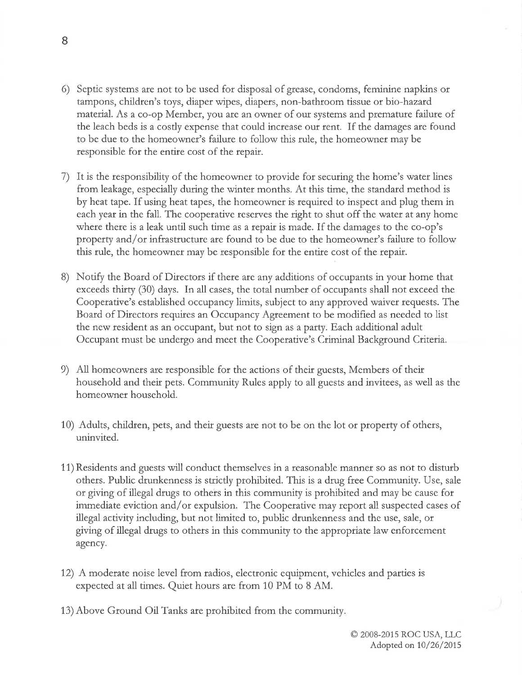- 6) Septic systems are not to be used fot disposal of grease, condoms, feminine napkins ot tampons, children's toys, diaper wipes, diapers, non-bathroom tissue orbio-hazard material. As a co-op Member, you are an owner of our systems and premature failure of the leach beds is a cosdy expense that could inctease our rent. If the damages are found to be due to the homeownet's failure to follow this rule, the homeowner may be responsible for the entire cost of the repair.
- 7) It is the tesponsibility of the homeowner to provide for securing the home's watet lines from leakage, especially during the winter months. At this time, the standard method is by heat tape. If using heat tapes, the homeowner is tequired to inspect and plug them in each year in the fall. The cooperative reserves the right to shut off the water at any home where there is a leak until such time as a repair is made. If the damages to the co-op's property and/or infrastructure are found to be due to the homeowner's failure to follow this rule, the homeowner may be responsible for the entire cost of the repair.
- 8) Notify the Board of Directors if there are any additions of occupants in your home that exceeds thirty (30) days. In all cases, the total number of occupants shall not exceed the Cooperative's established occupancy limits, subject to any approved waiver requests. The Board of Directors requires an Occupancy Agreement to be modified as needed to list the new resident as an occupant, but not to sign as a party. Each additional adult Occupant must be undergo and meet the Cooperative's Criminal Background Criteria.
- 9) All homeowners are responsible fot the actions of their guests, Members of their household and their pets. Community Rules apply to all guests and invitees, as well as the homeownet household.
- 10) Adults, children, pets, and their guests are not to be on the lot or property of others, uninvited.
- 11) Residents and guests will conduct themselves in a reasonable manner so âs not to disturb others. Public drunkenness is strictly prohibited. This is a drug free Community. Use, sale ot giving of illegal dtugs to othets in this community is ptohibited and may be cause for immediate eviction and/or expulsion. The Cooperative may report all suspected cases of illegal activity including, but not limited to, public drunkenness and the use, sale, or giving of illegal drugs to others in this community to the apptoptiate law enfotcement agency.
- 12) A moderate noise level from radios, electronic equipment, vehicles and parties is expected at all times. Quiet houts are from 10 PM to 8 AM.
- 13) Above Ground Oil Tanks are prohibited ftom the community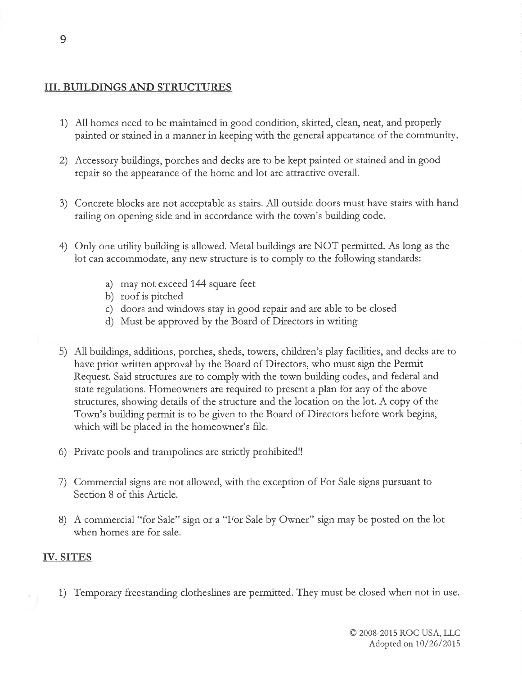## III. BUILDINGS AND STRUCTURES

- 1) All homes need to be maintained in good condition, skirted, clean, neat, and properly painted or stained in a manner in keeping with the general appearance of the community.
- 2) Accessory buildings, porches and decks are to be kept painted or stained and in good  $\epsilon$  repair so the appearance of the home and lo  $\mathbf{r}$ of the home and lot are attractive overall.
- 3) Concrete blocks are not acceptable as stairs. AJl outside doors must have stairs with hand railing on opening side and in accordance with the town's building code.
- 4) Only one utility building is allowed. Metal buildings are NOT permitted. As long as the lot can accommodate, any new structure is to comply to the following standards:
	- a) may not exceed 144 square feet
	- b) roof is pitched
	- c) doors and windows stay in good repatt and are able to be closed
	- d) Must be apptoved by the Board of Directors in wtiting
- 5) All buildings, additions, porches, sheds, towers, children's play facilities, and decks are<br>here prior written approval by the Board of Directors, who must sign the Bormit to have prior written approval by the Board of Directors, who must sign the Permit Request. Said stuctures are to comply with the town building codes, and fedetal and state regulations. Homeowners are required to present a plan fot any of the above structures, showing details of the structure and the location on the lot. A copy of the Town's building permit is to be given to the Boatd of Directors before work begins, which will be placed in the homeowner's fìle.
- 6) Private pools and trampolines are strictly prohibited!!
- 7) Commercial signs are not allowed, with the exception of For Sale signs pursuant to Section 8 of this Article.
- 8) A commercial "for Sale" sign or a "For Sale by Owner" sign may be posted on the lot when homes are fot sale.

## IV. SITES

1) Temporary fteestanding clotheslines are permitted. They must be closed when not in use.

9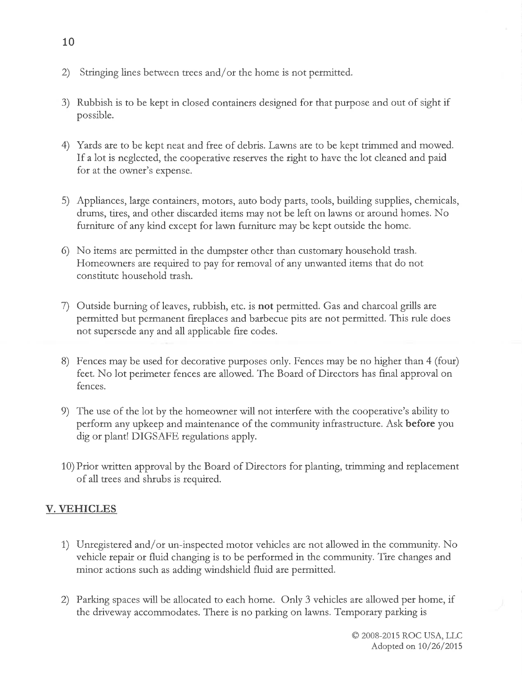- 2) Stringing lines between trees and/or the home is not permitted.
- 3) Rubbish is to be kept in closed containers designed for that purpose and out of sight if possible.
- 4) Yards are to be kept neat and free of debris. Lawns are to be kept trimmed and mowed If a lot is neglected, the cooperative reserves the right to have the lot cleaned and paid for at the owner's expense.
- 5) Appliances, large containers, motors, auto body parts, tools, building supplies, chemicals, drums, tires, and other discarded items may not be left on lawns or around homes. No futniture of any kind except for lawn furniture may be kept outside the home.
- 6) No items are permitted in the dumpster other than customary household trash. Homeowners are required to pay for removal of any unwanted items that do not constitute household trash.
- 7) Outside burning of leaves, rubbish, etc. is not permitted. Gas and charcoal grills are permitted but permanent fireplaces and barbecue pits ate not permitted. This rule does not supersede any and all applicable fte codes.
- 8) Fences may be used for decorative purposes only. Fences may be no higher than 4 (four) feet. No lot perimeter fences are allowed. The Board of Directors has final approval on fences.
- 9) The use of the lot by the homeowner will not interfere with the cooperative's ability to perform any upkeep and maintenance of the community infrastructure. Ask before you dig or plant! DIGSAFE regulations apply.
- 10) Prior written approval by the Board of Directors for planting, trimming and replacement of all ttees and shrubs is required.

## V. VEHICLES

- 1) Unregistered and/or un-inspected motor vehicles are not allowed in the community. No vehicle repair or fluid changing is to be performed in the community. Tire changes and minor actions such as adding windshield fluid are petmitted.
- 2) Parking spaces will be allocated to each home. Only 3 vehicles ate allowed per home, if the driveway accommodates. There is no parking on lawns. Temporary parking is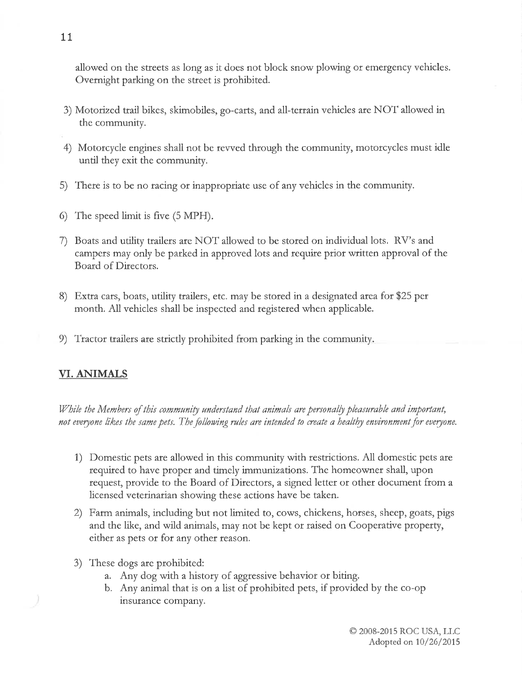allowed on the steets as long as it does not block snow plowing or emergency vehicles. Overnight parking on the street is prohibited.

- 3) Motorized trail bikes, skimobiles, go-carts, and all-terrain vehicles ate NOT allowed in the community.
- 4) Motorcycle engines shall not be rewed through the community, motorcycles must idle until they exit the community.
- 5) Thete is to be no racing or inappropriate use of any vehicles in the community.
- 6) The speed limit is fìve (5 MPH)
- 7) Boats and utility trailers are NOT allowed to be stored on individual lots. RV's and campers may only be parked in approved lots and require prior written approval of the Board of Directors.
- 8) Extta cars, boats, utility trailers, etc. may be stored in a designated area fot \$25 per month. All vehicles shall be inspected and tegistered when applicable.
- 9) Tractor trailers are strictly prohibited from parking in the community

## VI. ANIMALS

While the Members of this community understand that animals are personally pleasurable and important, not everyone likes the same pets. The following rules are intended to create a healthy environment for everyone.

- 1) Domestic pets are allowed in this community with restrictions. All domestic pets are required to have proper and timely immunizations. The homeownet shall, upon request, ptovide to the Board of Directors, a signed lettet or other document from a licensed veterinarian showing these actions have be taken.
- 2) Farm animals, including but not limited to, cows, chickens, horses, sheep, goats, pigs and the like, and wild animals, may not be kept or raised on Cooperative property, either as pets or for any other reason.
- 3) These dogs are ptohibited:
	- a. Any dog with a history of aggressive behavior or biting.
	- b. Any animal that is on a list of ptohibited pets, if provided by the co-op insutance company.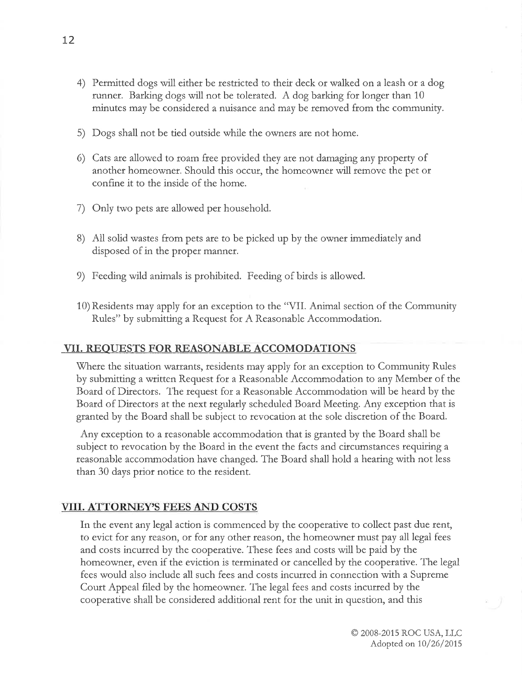- 4) Petmitted dogs will eithet be resticted to their deck or walked on a leash ot a dog runner. Barking dogs will not be tolerated. A dog barking for longer than 10 minutes may be considered a nuisance and may be removed ftom the community.
- 5) Dogs shall not be tied outside while the owners are not home.
- 6) Cats ate allowed to roam free provided they are not damaging any ptopety of anothet homeownet. Should this occur, the homeownet will remove the pet or confìne it to the inside of the home.
- 7) Only two pets are allowed pet household.
- 8) All solid wastes ftom pets âre to be picked up by the owner immediately and disposed of in the proper manner.
- 9) Feeding wild animals is prohibited. Feeding of birds is allowed.
- 10) Residents may apply fot an exception to the "VII. Animal section of the Community Rules" by submitting a Request for A Reasonable Accommodation.

## VII. REOUESTS FOR REASONABLE ACCOMODATIONS

Where the situation warrants, residents may apply for an exception to Community Rules by submitting a written Request for a Reasonable Âccommodation to any Member of the Board of Ditectors. The request fot a Reasonable Accommodation will be heatd by the Board of Directors at the next regularly scheduled Board Meeting. Any exception that is gtanted by the Boatd shall be subject to revocation at the sole disctetion of the Boatd.

Any exception to a reasonable accommodation that is granted by the Board shall be subject to revocation by the Board in the event the facts and circumstances requiring a reasonable accommodation have changed. The Board shall hold a hearing with not less than 30 days prior notice to the tesident.

## **VIII. ATTORNEY'S FEES AND COSTS**

In the event any legal action is commenced by the cooperative to collect past due rent, to evict for any reason, or for any other reason, the homeowner must pay all legal fees and costs incurred by the cooperative. These fees and costs will be paid by the homeowner, even if the eviction is terminated ot cancelled by the cooperative. The legal fees would also include all such fees and costs incurred in connection with a Supreme Court Appeal filed by the homeowner. The legal fees and costs incutred by the coopetative shall be considered additional rent fot the unit in question, and this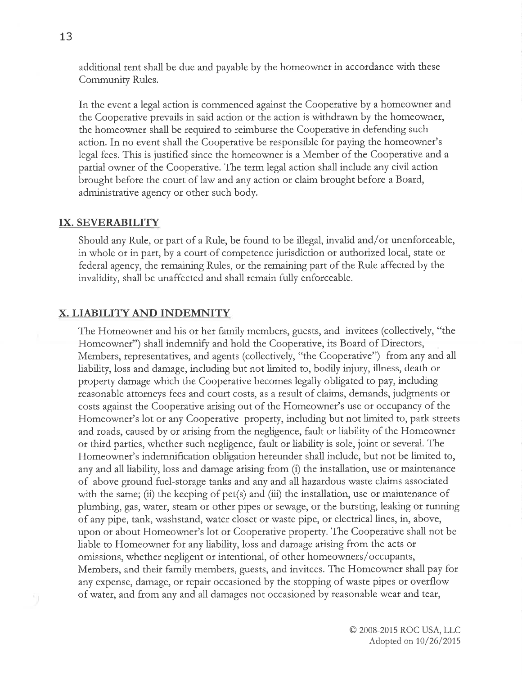additional rent shall be due and payable by the homeowner in accordance with these Community Rules.

In the event a legal action is commenced against the Cooperative by a homeownet and the Cooperative prevails in said action or the action is withdrawn by the homeowner, the homeowner shall be required to reimburse the Cooperative in defending such action. In no event shall the Cooperative be responsible fot paying the homeowner's legal fees. This is justified since the homeownet is a Membet of the Coopetative and a parttal owner of the Cooperative. The term legal action shall include àny civil action brought before the court of law and any action or claim brought before a Board, administrative agency or other such body.

#### IX. SEVERABILITY

Should any Rule, or part of a Rule, be found to be illegal, invalid and/or unenforceable, in whole or in part, by a court of competence jurisdiction or authorized local, state or federal agency, the remaining Rules, ot the temaining patt of the Rule affected by the invalidity, shall be unaffected and shall remain fully enforceable.

#### X. LIABILITY AND INDEMNITY

The Homeowner and his or her family membets, guests, and invitees (collectively, "the Homeowner") shall indemnify and hold the Cooperative, its Board of Directors, Members, representatives, and agents (collectively, "the Cooperative") from any and all liability, loss and damage, including but not limited to, bodily injury, illness, death or property damage which the Cooperative becomes legally obligated to p^y, including reasonable attorneys fees and coutt costs, as a tesult of claims, demands, judgments ot costs against the Cooperative arising out of the Homeowner's use or occupancy of the Homeowner's lot ot Cooperative property, including but not limited to, park streets and roads, caused by or arising from the negligence, fault or liability of the Homeowner or third parties, whether such negligence, fault or liability is sole, joint or several. The Homeowner's indemnifìcation obligation heteunder shall include, but not be limited to, any and all liability, loss and damage arising from (i) the installation, use or maintenance of above ground fuel-storage tanks and any and all hazardous waste claims associated with the same; (ii) the keeping of pet(s) and (iii) the installation, use or maintenance of plumbing, gas, water, steâm or other pipes or sewage, or the bursting, leaking ot running of any pipe, tank, washstand, water closet or wâste pipe, or electtical lines, in, above, upon or about Homeowner's lot or Cooperatìve ptopety. The Cooperative shall not be liable to Homeownet fot any liability, loss and damage atising from the acts or omissions, whether negligent or intentional, of other homeowners/occupants, Members, and their family members, guests, and invitees. The Homeownet shall pay for any expense, damage, or repair occasioned by the stopping of waste pipes ot ovetflow of water, and from any and all damages not occasioned by reasonable wear and tear,